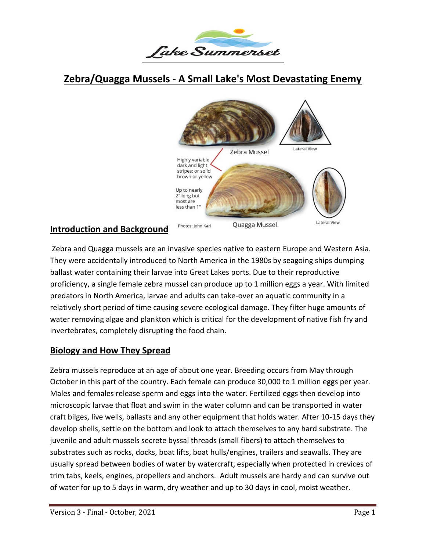

# **Zebra/Quagga Mussels - A Small Lake's Most Devastating Enemy**



#### **Introduction and Background**

Zebra and Quagga mussels are an invasive species native to eastern Europe and Western Asia. They were accidentally introduced to North America in the 1980s by seagoing ships dumping ballast water containing their larvae into Great Lakes ports. Due to their reproductive proficiency, a single female zebra mussel can produce up to 1 million eggs a year. With limited predators in North America, larvae and adults can take-over an aquatic community in a relatively short period of time causing severe ecological damage. They filter huge amounts of water removing algae and plankton which is critical for the development of native fish fry and invertebrates, completely disrupting the food chain.

#### **Biology and How They Spread**

Zebra mussels reproduce at an age of about one year. Breeding occurs from May through October in this part of the country. Each female can produce 30,000 to 1 million eggs per year. Males and females release sperm and eggs into the water. Fertilized eggs then develop into microscopic larvae that float and swim in the water column and can be transported in water craft bilges, live wells, ballasts and any other equipment that holds water. After 10-15 days they develop shells, settle on the bottom and look to attach themselves to any hard substrate. The juvenile and adult mussels secrete byssal threads (small fibers) to attach themselves to substrates such as rocks, docks, boat lifts, boat hulls/engines, trailers and seawalls. They are usually spread between bodies of water by watercraft, especially when protected in crevices of trim tabs, keels, engines, propellers and anchors. Adult mussels are hardy and can survive out of water for up to 5 days in warm, dry weather and up to 30 days in cool, moist weather.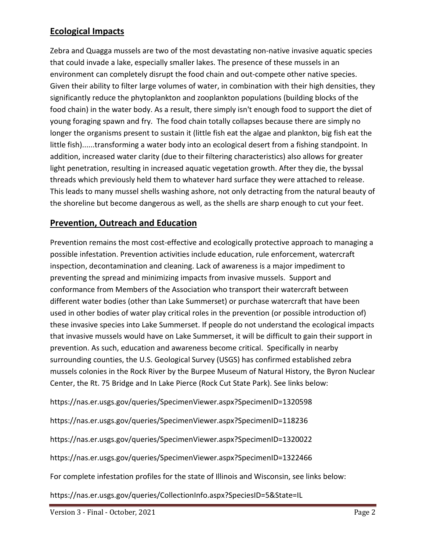#### **Ecological Impacts**

Zebra and Quagga mussels are two of the most devastating non-native invasive aquatic species that could invade a lake, especially smaller lakes. The presence of these mussels in an environment can completely disrupt the food chain and out-compete other native species. Given their ability to filter large volumes of water, in combination with their high densities, they significantly reduce the phytoplankton and zooplankton populations (building blocks of the food chain) in the water body. As a result, there simply isn't enough food to support the diet of young foraging spawn and fry. The food chain totally collapses because there are simply no longer the organisms present to sustain it (little fish eat the algae and plankton, big fish eat the little fish)......transforming a water body into an ecological desert from a fishing standpoint. In addition, increased water clarity (due to their filtering characteristics) also allows for greater light penetration, resulting in increased aquatic vegetation growth. After they die, the byssal threads which previously held them to whatever hard surface they were attached to release. This leads to many mussel shells washing ashore, not only detracting from the natural beauty of the shoreline but become dangerous as well, as the shells are sharp enough to cut your feet.

#### **Prevention, Outreach and Education**

Prevention remains the most cost-effective and ecologically protective approach to managing a possible infestation. Prevention activities include education, rule enforcement, watercraft inspection, decontamination and cleaning. Lack of awareness is a major impediment to preventing the spread and minimizing impacts from invasive mussels. Support and conformance from Members of the Association who transport their watercraft between different water bodies (other than Lake Summerset) or purchase watercraft that have been used in other bodies of water play critical roles in the prevention (or possible introduction of) these invasive species into Lake Summerset. If people do not understand the ecological impacts that invasive mussels would have on Lake Summerset, it will be difficult to gain their support in prevention. As such, education and awareness become critical. Specifically in nearby surrounding counties, the U.S. Geological Survey (USGS) has confirmed established zebra mussels colonies in the Rock River by the Burpee Museum of Natural History, the Byron Nuclear Center, the Rt. 75 Bridge and In Lake Pierce (Rock Cut State Park). See links below:

https://nas.er.usgs.gov/queries/SpecimenViewer.aspx?SpecimenID=1320598

https://nas.er.usgs.gov/queries/SpecimenViewer.aspx?SpecimenID=118236

https://nas.er.usgs.gov/queries/SpecimenViewer.aspx?SpecimenID=1320022

https://nas.er.usgs.gov/queries/SpecimenViewer.aspx?SpecimenID=1322466

For complete infestation profiles for the state of Illinois and Wisconsin, see links below:

https://nas.er.usgs.gov/queries/CollectionInfo.aspx?SpeciesID=5&State=IL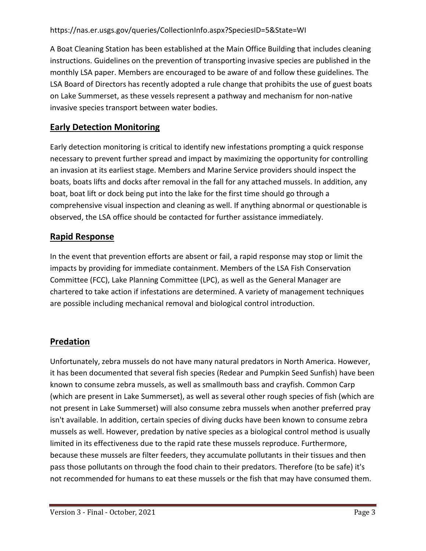A Boat Cleaning Station has been established at the Main Office Building that includes cleaning instructions. Guidelines on the prevention of transporting invasive species are published in the monthly LSA paper. Members are encouraged to be aware of and follow these guidelines. The LSA Board of Directors has recently adopted a rule change that prohibits the use of guest boats on Lake Summerset, as these vessels represent a pathway and mechanism for non-native invasive species transport between water bodies.

# **Early Detection Monitoring**

Early detection monitoring is critical to identify new infestations prompting a quick response necessary to prevent further spread and impact by maximizing the opportunity for controlling an invasion at its earliest stage. Members and Marine Service providers should inspect the boats, boats lifts and docks after removal in the fall for any attached mussels. In addition, any boat, boat lift or dock being put into the lake for the first time should go through a comprehensive visual inspection and cleaning as well. If anything abnormal or questionable is observed, the LSA office should be contacted for further assistance immediately.

## **Rapid Response**

In the event that prevention efforts are absent or fail, a rapid response may stop or limit the impacts by providing for immediate containment. Members of the LSA Fish Conservation Committee (FCC), Lake Planning Committee (LPC), as well as the General Manager are chartered to take action if infestations are determined. A variety of management techniques are possible including mechanical removal and biological control introduction.

## **Predation**

Unfortunately, zebra mussels do not have many natural predators in North America. However, it has been documented that several fish species (Redear and Pumpkin Seed Sunfish) have been known to consume zebra mussels, as well as smallmouth bass and crayfish. Common Carp (which are present in Lake Summerset), as well as several other rough species of fish (which are not present in Lake Summerset) will also consume zebra mussels when another preferred pray isn't available. In addition, certain species of diving ducks have been known to consume zebra mussels as well. However, predation by native species as a biological control method is usually limited in its effectiveness due to the rapid rate these mussels reproduce. Furthermore, because these mussels are filter feeders, they accumulate pollutants in their tissues and then pass those pollutants on through the food chain to their predators. Therefore (to be safe) it's not recommended for humans to eat these mussels or the fish that may have consumed them.